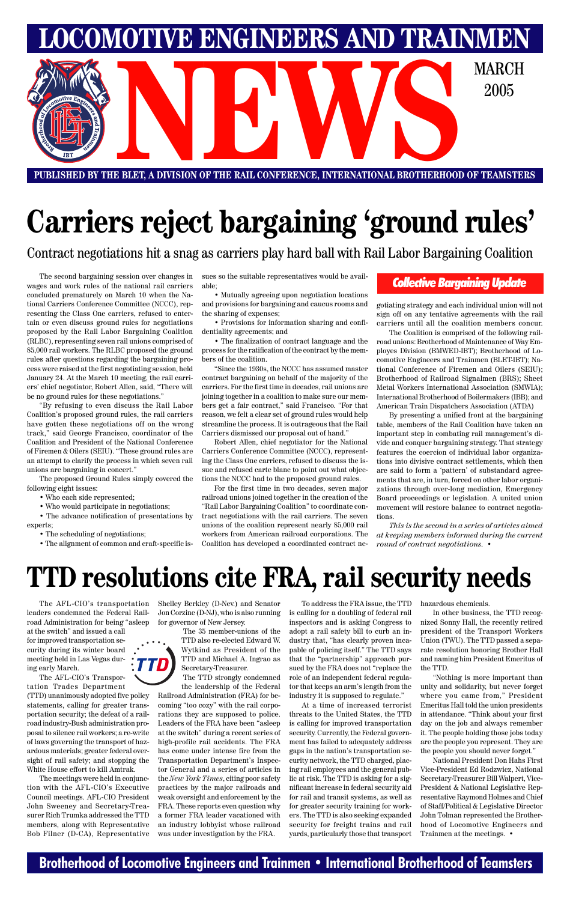### **Brotherhood of Locomotive Engineers and Trainmen • International Brotherhood of Teamsters**

**LOMOTIVE ENGINEERS AND TRAINMEN** E BLET, A DIVISION OF THE RAIL CONFERENCE, INTERNATIONAL BROTHERHOOD OF TEAMSTE 2005

**PUBLISHED BY THE BLET, A DIVISION OF THE RAIL CONFERENCE, INTERNATIONAL BROTHERHOOD OF TEAMSTERS**

# **Carriers reject bargaining 'ground rules'**

:TTD) ing early March.

The AFL-CIO's transportation leaders condemned the Federal Railroad Administration for being "asleep at the switch" and issued a call

for improved transportation security during its winter board meeting held in Las Vegas dur-

The AFL-CIO's Transportation Trades Department (TTD) unanimously adopted five policy statements, calling for greater transportation security; the defeat of a railroad industry-Bush administration proposal to silence rail workers; a re-write of laws governing the transport of hazardous materials; greater federal oversight of rail safety; and stopping the White House effort to kill Amtrak.

The meetings were held in conjunction with the AFL-CIO's Executive Council meetings. AFL-CIO President John Sweeney and Secretary-Treasurer Rich Trumka addressed the TTD members, along with Representative Bob Filner (D-CA), Representative Shelley Berkley (D-Nev.) and Senator Jon Corzine (D-NJ), who is also running for governor of New Jersey.

The 35 member-unions of the TTD also re-elected Edward W. Wytkind as President of the TTD and Michael A. Ingrao as

Secretary-Treasurer.

The TTD strongly condemned the leadership of the Federal

Railroad Administration (FRA) for becoming "too cozy" with the rail corporations they are supposed to police. Leaders of the FRA have been "asleep at the switch" during a recent series of high-profile rail accidents. The FRA has come under intense fire from the Transportation Department's Inspector General and a series of articles in the *New York Times*, citing poor safety practices by the major railroads and weak oversight and enforcement by the FRA. These reports even question why a former FRA leader vacationed with an industry lobbyist whose railroad was under investigation by the FRA.

To address the FRA issue, the TTD is calling for a doubling of federal rail inspectors and is asking Congress to adopt a rail safety bill to curb an industry that, "has clearly proven incapable of policing itself." The TTD says that the "partnership" approach pursued by the FRA does not "replace the role of an independent federal regulator that keeps an arm's length from the industry it is supposed to regulate." At a time of increased terrorist threats to the United States, the TTD is calling for improved transportation security. Currently, the Federal government has failed to adequately address gaps in the nation's transportation security network, the TTD charged, placing rail employees and the general public at risk. The TTD is asking for a significant increase in federal security aid for rail and transit systems, as well as for greater security training for workers. The TTD is also seeking expanded security for freight trains and rail yards, particularly those that transport

hazardous chemicals.

In other business, the TTD recognized Sonny Hall, the recently retired president of the Transport Workers Union (TWU). The TTD passed a separate resolution honoring Brother Hall and naming him President Emeritus of

the TTD.

"Nothing is more important than unity and solidarity, but never forget where you came from," President Emeritus Hall told the union presidents in attendance. "Think about your first day on the job and always remember it. The people holding those jobs today are the people you represent. They are the people you should never forget."

National President Don Hahs First Vice-President Ed Rodzwicz, National Secretary-Treasurer Bill Walpert, Vice-President & National Legislative Representative Raymond Holmes and Chief of Staff/Political & Legislative Director John Tolman represented the Brotherhood of Locomotive Engineers and Trainmen at the meetings. •

## **TTD resolutions cite FRA, rail security needs**

The second bargaining session over changes in wages and work rules of the national rail carriers concluded prematurely on March 10 when the National Carriers Conference Committee (NCCC), representing the Class One carriers, refused to entertain or even discuss ground rules for negotiations proposed by the Rail Labor Bargaining Coalition (RLBC), representing seven rail unions comprised of 85,000 rail workers. The RLBC proposed the ground rules after questions regarding the bargaining process were raised at the first negotiating session, held January 24. At the March 10 meeting, the rail carriers' chief negotiator, Robert Allen, said, "There will be no ground rules for these negotiations."

"By refusing to even discuss the Rail Labor Coalition's proposed ground rules, the rail carriers have gotten these negotiations off on the wrong track," said George Francisco, coordinator of the Coalition and President of the National Conference of Firemen & Oilers (SEIU). "These ground rules are an attempt to clarify the process in which seven rail unions are bargaining in concert."

The proposed Ground Rules simply covered the following eight issues:

- Who each side represented;
- Who would participate in negotiations;

• The advance notification of presentations by experts;

• The scheduling of negotiations;

• The alignment of common and craft-specific is-

sues so the suitable representatives would be available;

• Mutually agreeing upon negotiation locations and provisions for bargaining and caucus rooms and the sharing of expenses;

• Provisions for information sharing and confidentiality agreements; and

• The finalization of contract language and the process for the ratification of the contract by the members of the coalition.

"Since the 1930s, the NCCC has assumed master contract bargaining on behalf of the majority of the carriers. For the first time in decades, rail unions are joining together in a coalition to make sure our members get a fair contract," said Francisco. "For that reason, we felt a clear set of ground rules would help streamline the process. It is outrageous that the Rail Carriers dismissed our proposal out of hand."

Robert Allen, chief negotiator for the National Carriers Conference Committee (NCCC), representing the Class One carriers, refused to discuss the issue and refused carte blanc to point out what objections the NCCC had to the proposed ground rules.

For the first time in two decades, seven major railroad unions joined together in the creation of the "Rail Labor Bargaining Coalition" to coordinate contract negotiations with the rail carriers. The seven unions of the coalition represent nearly 85,000 rail workers from American railroad corporations. The Coalition has developed a coordinated contract negotiating strategy and each individual union will not sign off on any tentative agreements with the rail carriers until all the coalition members concur.

The Coalition is comprised of the following railroad unions: Brotherhood of Maintenance of Way Employes Division (BMWED-IBT); Brotherhood of Locomotive Engineers and Trainmen (BLET-IBT); National Conference of Firemen and Oilers (SEIU); Brotherhood of Railroad Signalmen (BRS); Sheet Metal Workers International Association (SMWIA); International Brotherhood of Boilermakers (IBB); and American Train Dispatchers Association (ATDA)

By presenting a unified front at the bargaining table, members of the Rail Coalition have taken an important step in combating rail management's divide and conquer bargaining strategy. That strategy features the coercion of individual labor organizations into divisive contract settlements, which then are said to form a 'pattern' of substandard agreements that are, in turn, forced on other labor organizations through over-long mediation, Emergency Board proceedings or legislation. A united union movement will restore balance to contract negotiations.

*This is the second in a series of articles aimed at keeping members informed during the current round of contract negotiations.* •

### *Collective Bargaining Update*

Contract negotiations hit a snag as carriers play hard ball with Rail Labor Bargaining Coalition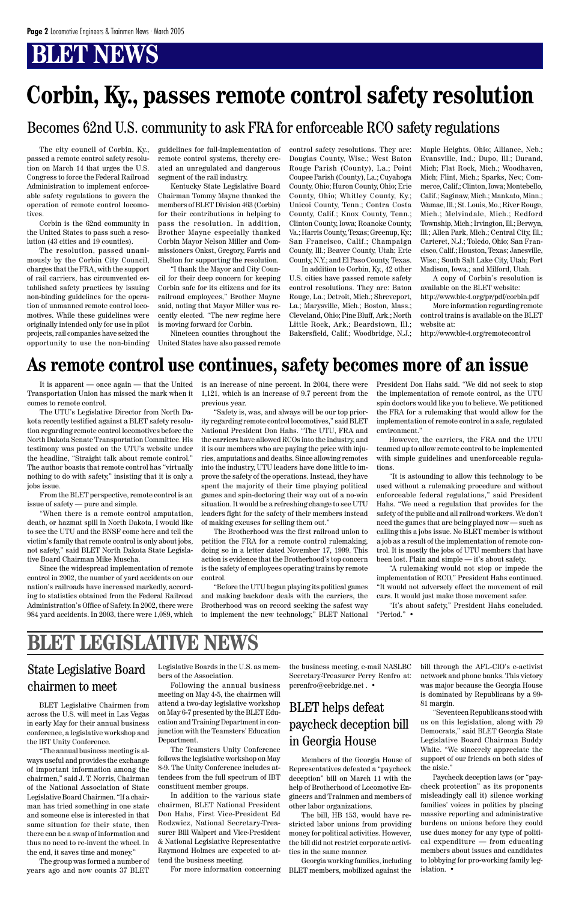Transportation Union has missed the mark when it comes to remote control.

The UTU's Legislative Director from North Dakota recently testified against a BLET safety resolution regarding remote control locomotives before the North Dakota Senate Transportation Committee. His testimony was posted on the UTU's website under the headline, "Straight talk about remote control." The author boasts that remote control has "virtually nothing to do with safety," insisting that it is only a jobs issue.

From the BLET perspective, remote control is an issue of safety — pure and simple.

It is apparent — once again — that the United is an increase of nine percent. In 2004, there were 1,121, which is an increase of 9.7 percent from the previous year.

"When there is a remote control amputation, death, or hazmat spill in North Dakota, I would like to see the UTU and the BNSF come here and tell the victim's family that remote control is only about jobs, not safety," said BLET North Dakota State Legislative Board Chairman Mike Muscha.

Since the widespread implementation of remote control in 2002, the number of yard accidents on our nation's railroads have increased markedly, according to statistics obtained from the Federal Railroad Administration's Office of Safety. In 2002, there were 984 yard accidents. In 2003, there were 1,089, which

"Safety is, was, and always will be our top priority regarding remote control locomotives," said BLET National President Don Hahs. "The UTU, FRA and the carriers have allowed RCOs into the industry, and it is our members who are paying the price with injuries, amputations and deaths. Since allowing remotes into the industry, UTU leaders have done little to improve the safety of the operations. Instead, they have spent the majority of their time playing political games and spin-doctoring their way out of a no-win situation. It would be a refreshing change to see UTU leaders fight for the safety of their members instead of making excuses for selling them out."

The Brotherhood was the first railroad union to petition the FRA for a remote control rulemaking, doing so in a letter dated November 17, 1999. This action is evidence that the Brotherhood's top concern is the safety of employees operating trains by remote control.

"Before the UTU began playing its political games and making backdoor deals with the carriers, the Brotherhood was on record seeking the safest way to implement the new technology," BLET National

control safety resolutions. They are: Douglas County, Wisc.; West Baton Rouge Parish (County), La.; Point Coupee Parish (County), La.; Cuyahoga County, Ohio; Huron County, Ohio; Erie County, Ohio; Whitley County, Ky.; Unicoi County, Tenn.; Contra Costa County, Calif.; Knox County, Tenn.; Clinton County, Iowa; Roanoke County, Va.; Harris County, Texas; Greenup, Ky.; San Francisco, Calif.; Champaign County, Ill.; Beaver County, Utah; Erie County, N.Y.; and El Paso County, Texas.

In addition to Corbin, Ky., 42 other U.S. cities have passed remote safety control resolutions. They are: Baton Rouge, La.; Detroit, Mich.; Shreveport, La.; Marysville, Mich.; Boston, Mass.; Cleveland, Ohio; Pine Bluff, Ark.; North Little Rock, Ark.; Beardstown, Ill.; Bakersfield, Calif.; Woodbridge, N.J.;

The city council of Corbin, Ky., passed a remote control safety resolution on March 14 that urges the U.S. Congress to force the Federal Railroad Administration to implement enforceable safety regulations to govern the operation of remote control locomotives.

Corbin is the 62nd community in the United States to pass such a resolution (43 cities and 19 counties).

The resolution, passed unanimously by the Corbin City Council, charges that the FRA, with the support of rail carriers, has circumvented established safety practices by issuing non-binding guidelines for the operation of unmanned remote control locomotives. While these guidelines were originally intended only for use in pilot projects, rail companies have seized the opportunity to use the non-binding guidelines for full-implementation of remote control systems, thereby created an unregulated and dangerous segment of the rail industry.

Kentucky State Legislative Board Chairman Tommy Mayne thanked the members of BLET Division 463 (Corbin) for their contributions in helping to pass the resolution. In addition, Brother Mayne especially thanked Corbin Mayor Nelson Miller and Commissioners Onkst, Gregory, Farris and Shelton for supporting the resolution.

"I thank the Mayor and City Council for their deep concern for keeping Corbin safe for its citizens and for its railroad employees," Brother Mayne said, noting that Mayor Miller was recently elected. "The new regime here is moving forward for Corbin.

Nineteen counties throughout the United States have also passed remote Maple Heights, Ohio; Alliance, Neb.; Evansville, Ind.; Dupo, Ill.; Durand, Mich; Flat Rock, Mich.; Woodhaven, Mich; Flint, Mich.; Sparks, Nev.; Commerce, Calif.; Clinton, Iowa; Montebello, Calif.; Saginaw, Mich.; Mankato, Minn.; Wamac, Ill.; St. Louis, Mo.; River Rouge, Mich.; Melvindale, Mich.; Redford Township, Mich.; Irvington, Ill.; Berwyn, Ill.; Allen Park, Mich.; Central City, Ill.; Carteret, N.J.; Toledo, Ohio; San Francisco, Calif.; Houston, Texas; Janesville, Wisc.; South Salt Lake City, Utah; Fort Madison, Iowa.; and Milford, Utah.

A copy of Corbin's resolution is available on the BLET website:

http://www.ble-t.org/pr/pdf/corbin.pdf More information regarding remote control trains is available on the BLET website at:

http://www.ble-t.org/remotecontrol

## **Corbin, Ky., passes remote control safety resolution**

President Don Hahs said. "We did not seek to stop the implementation of remote control, as the UTU spin doctors would like you to believe. We petitioned the FRA for a rulemaking that would allow for the implementation of remote control in a safe, regulated environment."

However, the carriers, the FRA and the UTU teamed up to allow remote control to be implemented with simple guidelines and unenforceable regulations.

"It is astounding to allow this technology to be used without a rulemaking procedure and without enforceable federal regulations," said President Hahs. "We need a regulation that provides for the safety of the public and all railroad workers. We don't need the games that are being played now — such as calling this a jobs issue. No BLET member is without a job as a result of the implementation of remote control. It is mostly the jobs of UTU members that have been lost. Plain and simple — it's about safety.

"A rulemaking would not stop or impede the implementation of RCO," President Hahs continued. "It would not adversely effect the movement of rail cars. It would just make those movement safer.

"It's about safety," President Hahs concluded. "Period." •

### **As remote control use continues, safety becomes more of an issue**

Members of the Georgia House of Representatives defeated a "paycheck deception" bill on March 11 with the help of Brotherhood of Locomotive Engineers and Trainmen and members of other labor organizations.

The bill, HB 153, would have restricted labor unions from providing money for political activities. However, the bill did not restrict corporate activities in the same manner.

Georgia working families, including BLET members, mobilized against the

BLET Legislative Chairmen from across the U.S. will meet in Las Vegas in early May for their annual business conference, a legislative workshop and the IBT Unity Conference.

"The annual business meeting is always useful and provides the exchange of important information among the chairmen," said J. T. Norris, Chairman of the National Association of State Legislative Board Chairmen. "If a chairman has tried something in one state and someone else is interested in that same situation for their state, then there can be a swap of information and thus no need to re-invent the wheel. In the end, it saves time and money."

The group was formed a number of years ago and now counts 37 BLET

### BLET helps defeat paycheck deception bill in Georgia House

### State Legislative Board chairmen to meet

Legislative Boards in the U.S. as members of the Association.

Following the annual business meeting on May 4-5, the chairmen will attend a two-day legislative workshop on May 6-7 presented by the BLET Education and Training Department in conjunction with the Teamsters' Education Department.

The Teamsters Unity Conference follows the legislative workshop on May 8-9. The Unity Conference includes attendees from the full spectrum of IBT constituent member groups.

In addition to the various state chairmen, BLET National President Don Hahs, First Vice-President Ed Rodzwicz, National Secretary-Treasurer Bill Walpert and Vice-President & National Legislative Representative Raymond Holmes are expected to attend the business meeting.

For more information concerning

bill through the AFL-CIO's e-activist network and phone banks. This victory was major because the Georgia House is dominated by Republicans by a 99- 81 margin.

"Seventeen Republicans stood with us on this legislation, along with 79 Democrats," said BLET Georgia State Legislative Board Chairman Buddy White. "We sincerely appreciate the support of our friends on both sides of the aisle."

Paycheck deception laws (or "paycheck protection" as its proponents misleadingly call it) silence working families' voices in politics by placing massive reporting and administrative burdens on unions before they could use dues money for any type of political expenditure — from educating members about issues and candidates to lobbying for pro-working family legislation. •

the business meeting, e-mail NASLBC Secretary-Treasurer Perry Renfro at: pcrenfro@cebridge.net . •

### Becomes 62nd U.S. community to ask FRA for enforceable RCO safety regulations

### **BLET LEGISLATIVE NEWS**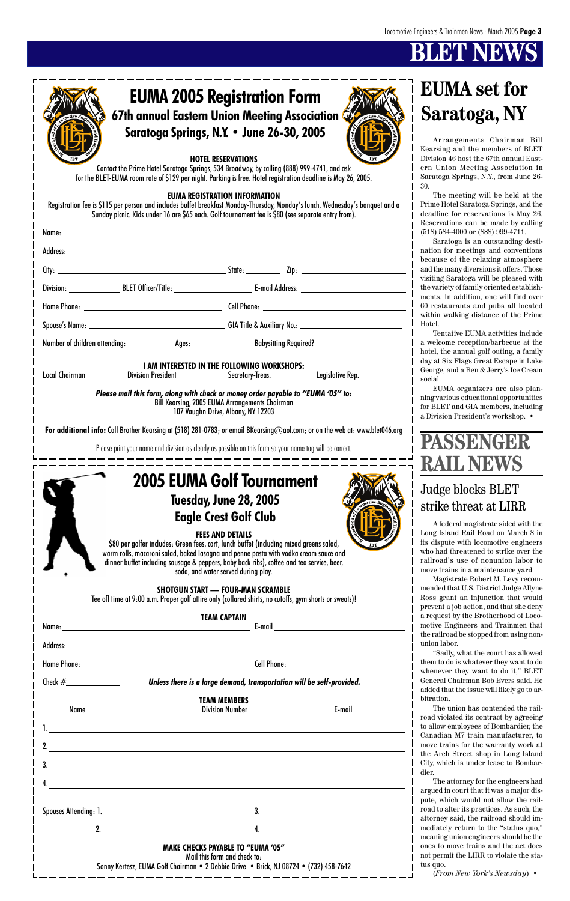|             | Unless there is a large demand, transportation will be self-provided.                                                                                             |        |  |
|-------------|-------------------------------------------------------------------------------------------------------------------------------------------------------------------|--------|--|
| <b>Name</b> | <b>TEAM MEMBERS</b><br><b>Division Number</b>                                                                                                                     | E-mail |  |
|             |                                                                                                                                                                   |        |  |
| 2.          | <u> 1989 - Johann Stoff, deutscher Stoffen und der Stoffen und der Stoffen und der Stoffen und der Stoffen und de</u>                                             |        |  |
| 3.          | <u> 1989 - Johann Stoff, amerikansk politiker (d. 1989)</u>                                                                                                       |        |  |
| 4.          | <u> 1989 - Johann Stoff, amerikansk politiker (d. 1989)</u>                                                                                                       |        |  |
|             |                                                                                                                                                                   |        |  |
|             |                                                                                                                                                                   |        |  |
|             | 2. $\qquad \qquad$                                                                                                                                                | 4.     |  |
|             | <b>MAKE CHECKS PAYABLE TO "EUMA '05"</b><br>Mail this form and check to:<br>Sonny Kertesz, EUMA Golf Chairman . 2 Debbie Drive . Brick, NJ 08724 . (732) 458-7642 |        |  |

|          | <b>EUMA 2005 Registration Form</b>                                                                                                                                                                                                                                                                                                                                                                                                                                                                                                                                   | <b>EUMA</b> set for                                                                                                                                                                                                                                                                                                                                     |
|----------|----------------------------------------------------------------------------------------------------------------------------------------------------------------------------------------------------------------------------------------------------------------------------------------------------------------------------------------------------------------------------------------------------------------------------------------------------------------------------------------------------------------------------------------------------------------------|---------------------------------------------------------------------------------------------------------------------------------------------------------------------------------------------------------------------------------------------------------------------------------------------------------------------------------------------------------|
|          | 67th annual Eastern Union Meeting Association C                                                                                                                                                                                                                                                                                                                                                                                                                                                                                                                      | Saratoga, NY                                                                                                                                                                                                                                                                                                                                            |
|          | Saratoga Springs, N.Y. • June 26-30, 2005<br><b>HOTEL RESERVATIONS</b><br>Contact the Prime Hotel Saratoga Springs, 534 Broadway, by calling (888) 999-4741, and ask<br>for the BLET-EUMA room rate of \$129 per night. Parking is free. Hotel registration deadline is May 26, 2005.<br><b>EUMA REGISTRATION INFORMATION</b><br>Registration fee is \$115 per person and includes buffet breakfast Monday-Thursday, Monday's lunch, Wednesday's banquet and a<br>Sunday picnic. Kids under 16 are \$65 each. Golf tournament fee is \$80 (see separate entry from). | Arrangements Chairman Bill<br>Kearsing and the members of BLET<br>Division 46 host the 67th annual East-<br>ern Union Meeting Association in<br>Saratoga Springs, N.Y., from June 26-<br>30.<br>The meeting will be held at the<br>Prime Hotel Saratoga Springs, and the<br>deadline for reservations is May 26.<br>Reservations can be made by calling |
|          |                                                                                                                                                                                                                                                                                                                                                                                                                                                                                                                                                                      | $(518) 584-4000$ or $(888) 999-4711$ .<br>Saratoga is an outstanding desti-                                                                                                                                                                                                                                                                             |
|          |                                                                                                                                                                                                                                                                                                                                                                                                                                                                                                                                                                      | nation for meetings and conventions<br>because of the relaxing atmosphere<br>and the many diversions it offers. Those                                                                                                                                                                                                                                   |
|          |                                                                                                                                                                                                                                                                                                                                                                                                                                                                                                                                                                      | visiting Saratoga will be pleased with<br>the variety of family oriented establish-                                                                                                                                                                                                                                                                     |
|          |                                                                                                                                                                                                                                                                                                                                                                                                                                                                                                                                                                      | ments. In addition, one will find over<br>60 restaurants and pubs all located                                                                                                                                                                                                                                                                           |
|          |                                                                                                                                                                                                                                                                                                                                                                                                                                                                                                                                                                      | within walking distance of the Prime<br>Hotel.                                                                                                                                                                                                                                                                                                          |
|          | Number of children attending: _______________ Ages: ____________________________Babysitting Required? ______________                                                                                                                                                                                                                                                                                                                                                                                                                                                 | Tentative EUMA activities include<br>a welcome reception/barbecue at the                                                                                                                                                                                                                                                                                |
|          | I AM INTERESTED IN THE FOLLOWING WORKSHOPS:<br>Legislative Rep. __________                                                                                                                                                                                                                                                                                                                                                                                                                                                                                           | hotel, the annual golf outing, a family<br>day at Six Flags Great Escape in Lake<br>George, and a Ben & Jerry's Ice Cream<br>social.                                                                                                                                                                                                                    |
|          | Please mail this form, along with check or money order payable to "EUMA '05" to:<br><b>Bill Kearsing, 2005 EUMA Arrangements Chairman</b><br>107 Vaughn Drive, Albany, NY 12203                                                                                                                                                                                                                                                                                                                                                                                      | EUMA organizers are also plan-<br>ning various educational opportunities<br>for BLET and GIA members, including<br>a Division President's workshop. •                                                                                                                                                                                                   |
|          | For additional info: Call Brother Kearsing at (518) 281-0783; or email BKearsing@aol.com; or on the web at: www.blet046.org                                                                                                                                                                                                                                                                                                                                                                                                                                          |                                                                                                                                                                                                                                                                                                                                                         |
|          | Please print your name and division as clearly as possible on this form so your name tag will be correct.                                                                                                                                                                                                                                                                                                                                                                                                                                                            | <b>PASSENGER</b>                                                                                                                                                                                                                                                                                                                                        |
|          |                                                                                                                                                                                                                                                                                                                                                                                                                                                                                                                                                                      | <b>RAIL NEWS</b>                                                                                                                                                                                                                                                                                                                                        |
|          | <b>2005 EUMA Golf Tournament</b>                                                                                                                                                                                                                                                                                                                                                                                                                                                                                                                                     | <b>Judge blocks BLET</b>                                                                                                                                                                                                                                                                                                                                |
|          | <b>Tuesday, June 28, 2005</b>                                                                                                                                                                                                                                                                                                                                                                                                                                                                                                                                        | strike threat at LIRR                                                                                                                                                                                                                                                                                                                                   |
|          | <b>Eagle Crest Golf Club</b>                                                                                                                                                                                                                                                                                                                                                                                                                                                                                                                                         | A federal magistrate sided with the                                                                                                                                                                                                                                                                                                                     |
|          | <b>FEES AND DETAILS</b><br>\$80 per golfer includes: Green fees, cart, lunch buffet (including mixed greens salad,<br>warm rolls, macaroni salad, baked lasagna and penne pasta with vodka cream sauce and<br>dinner buffet including sausage & peppers, baby back ribs), coffee and tea service, beer,                                                                                                                                                                                                                                                              | Long Island Rail Road on March 8 in<br>its dispute with locomotive engineers<br>who had threatened to strike over the<br>railroad's use of nonunion labor to                                                                                                                                                                                            |
|          | soda, and water served during play.<br><b>SHOTGUN START - FOUR-MAN SCRAMBLE</b><br>Tee off time at 9:00 a.m. Proper golf attire only (collared shirts, no cutoffs, gym shorts or sweats)!                                                                                                                                                                                                                                                                                                                                                                            | move trains in a maintenance yard.<br>Magistrate Robert M. Levy recom-<br>mended that U.S. District Judge Allyne<br>Ross grant an injunction that would                                                                                                                                                                                                 |
|          | <b>TEAM CAPTAIN</b>                                                                                                                                                                                                                                                                                                                                                                                                                                                                                                                                                  | prevent a job action, and that she deny<br>a request by the Brotherhood of Loco-                                                                                                                                                                                                                                                                        |
| Name:    | $E$ -mail                                                                                                                                                                                                                                                                                                                                                                                                                                                                                                                                                            | motive Engineers and Trainmen that<br>the railroad be stopped from using non-                                                                                                                                                                                                                                                                           |
| Address: |                                                                                                                                                                                                                                                                                                                                                                                                                                                                                                                                                                      | union labor.<br>"Sadly, what the court has allowed                                                                                                                                                                                                                                                                                                      |

them to do is whatever they want to do whenever they want to do it," BLET General Chairman Bob Evers said. He added that the issue will likely go to arbitration.

The union has contended the railroad violated its contract by agreeing to allow employees of Bombardier, the Canadian M7 train manufacturer, to move trains for the warranty work at the Arch Street shop in Long Island City, which is under lease to Bombardier.

The attorney for the engineers had argued in court that it was a major dispute, which would not allow the railroad to alter its practices. As such, the attorney said, the railroad should immediately return to the "status quo," meaning union engineers should be the ones to move trains and the act does not permit the LIRR to violate the status quo.

(*From New York's Newsday*) •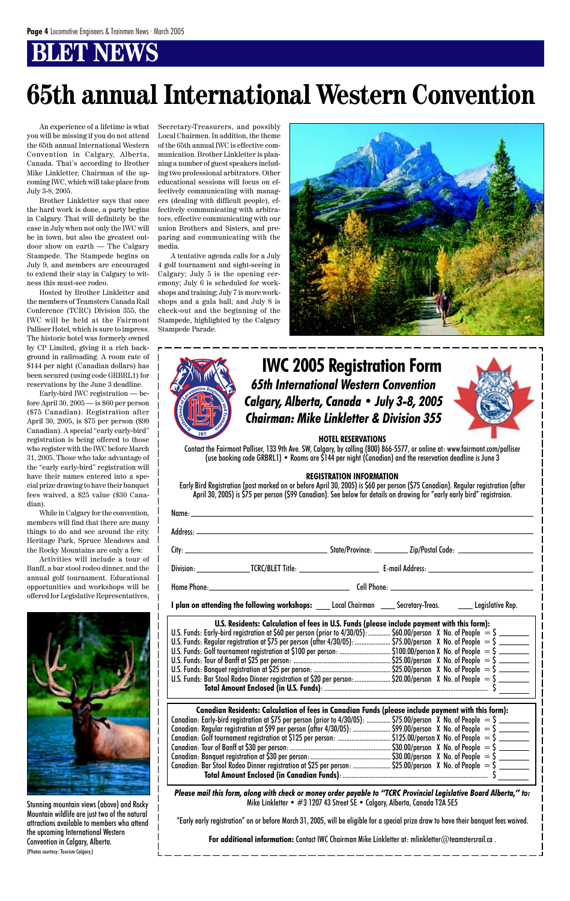An experience of a lifetime is what you will be missing if you do not attend the 65th annual International Western Convention in Calgary, Alberta, Canada. That's according to Brother Mike Linkletter, Chairman of the upcoming IWC, which will take place from July 3-8, 2005.

Brother Linkletter says that once the hard work is done, a party begins in Calgary. That will definitely be the case in July when not only the IWC will be in town, but also the greatest outdoor show on earth — The Calgary Stampede. The Stampede begins on July 9, and members are encouraged to extend their stay in Calgary to witness this must-see rodeo.

Hosted by Brother Linkletter and the members of Teamsters Canada Rail Conference (TCRC) Division 355, the IWC will be held at the Fairmont Palliser Hotel, which is sure to impress. The historic hotel was formerly owned by CP Limited, giving it a rich background in railroading. A room rate of \$144 per night (Canadian dollars) has been secured (using code GRBRL1) for reservations by the June 3 deadline.

Early-bird IWC registration — before April 30, 2005 — is \$60 per person (\$75 Canadian). Registration after April 30, 2005, is \$75 per person (\$99 Canadian). A special "early early-bird" registration is being offered to those who register with the IWC before March 31, 2005. Those who take advantage of the "early early-bird" registration will have their names entered into a special prize drawing to have their banquet fees waived, a \$25 value (\$30 Canadian).

While in Calgary for the convention, members will find that there are many things to do and see around the city. Heritage Park, Spruce Meadows and the Rocky Mountains are only a few.

Activities will include a tour of Banff, a bar stool rodeo dinner, and the annual golf tournament. Educational opportunities and workshops will be offered for Legislative Representatives,



# **65th annual International Western Convention**

Secretary-Treasurers, and possibly Local Chairmen. In addition, the theme of the 65th annual IWC is effective communication. Brother Linkletter is planning a number of guest speakers including two professional arbitrators. Other educational sessions will focus on effectively communicating with managers (dealing with difficult people), effectively communicating with arbitrators, effective communicating with our union Brothers and Sisters, and preparing and communicating with the media.

A tentative agenda calls for a July 4 golf tournament and sight-seeing in Calgary; July 5 is the opening ceremony; July 6 is scheduled for workshops and training; July 7 is more workshops and a gala ball; and July 8 is check-out and the beginning of the Stampede, highlighted by the Calgary Stampede Parade.





*Please mail this form, along with check or money order payable to "TCRC Provincial Legislative Board Alberta," to:* Mike Linkletter • #3 1207 43 Street SE • Calgary, Alberta, Canada T2A 5E5

#### **HOTEL RESERVATIONS**

Contact the Fairmont Palliser, 133 9th Ave. SW, Calgary, by calling (800) 866-5577, or online at: www.fairmont.com/palliser (use booking code GRBRL1) • Rooms are \$144 per night (Canadian) and the reservation deadline is June 3

#### **REGISTRATION INFORMATION**

Early Bird Registration (post marked on or before April 30, 2005) is \$60 per person (\$75 Canadian). Regular registration (after April 30, 2005) is \$75 per person (\$99 Canadian). See below for details on drawing for "early early bird" registraion.

| I plan on attending the following workshops: ____ Local Chairman _____ Secretary-Treas. ________ Legislative Rep.                                                                                                                                                                                                                                                                                                                 |  |  |  |
|-----------------------------------------------------------------------------------------------------------------------------------------------------------------------------------------------------------------------------------------------------------------------------------------------------------------------------------------------------------------------------------------------------------------------------------|--|--|--|
| U.S. Residents: Calculation of fees in U.S. Funds (please include payment with this form):<br>U.S. Residents: Calculation of fees in U.S. Funds (please include payment with this form):<br>U.S. Funds: Early-bird registration at \$60 per person (prior to 4/30/05):  \$60.00/person X No. of People = \$<br>U.S. Funds: Regular registration at \$75 per person (after 4/30/05):  \$75.00/person X No. of People = \$ ________ |  |  |  |

| U.S. Funds: Bar Stool Rodeo Dinner registration at \$20 per person: \$20.00/person X No. of People $=$ \$ |  |
|-----------------------------------------------------------------------------------------------------------|--|
|                                                                                                           |  |

U.S. Funds: Golf tournament registration at \$100 per person: ................................. \$100.00/person X No. of People  $\;=\;$ \$

**Canadian Residents: Calculation of fees in Canadian Funds (please include payment with this form):** Canadian: Early-bird registration at \$75 per person (prior to  $4/30/05$ ): ............... \$75.00/person X No. of People  $=$  \$ Canadian: Regular registration at \$99 per person (after 4/30/05): .........................\$99.00/person X No. of People  $=$  \$ Canadian: Golf tournament registration at \$125 per person: ............................... \$125.00/person X No. of People = \$ Canadian: Tour of Banff at \$30 per person: ........................................................... \$30.00/person X No. of People = \$ Canadian: Banquet registration at \$30 per person:............................................... \$30.00/person X No. of People = \$ Canadian: Bar Stool Rodeo Dinner registration at \$25 per person: ...........................\$25.00/person X No. of People  $=$  \$  **Total Amount Enclosed (in Canadian Funds)**: ..................................................................................... \$

"Early early registration" on or before March 31, 2005, will be eligible for a special prize draw to have their banquet fees waived.

**For additional information:** Contact IWC Chairman Mike Linkletter at: mlinkletter@teamstersrail.ca .

### *65th International Western Convention Calgary, Alberta, Canada • July 3-8, 2005 Chairman: Mike Linkletter & Division 355* **IWC 2005 Registration Form**



Stunning mountain views (above) and Rocky Mountain wildlife are just two of the natural attractions available to members who attend the upcoming International Western Convention in Calgary, Alberta. (Photos courtesy: Tourism Calgary.)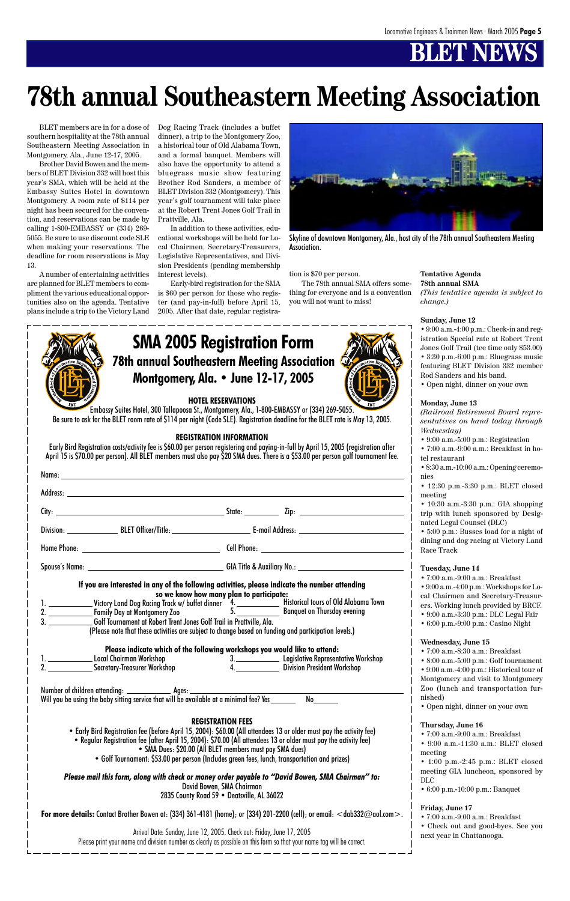|   | <b>SMA 2005 Registration Form</b>                     |
|---|-------------------------------------------------------|
|   | <b>2</b> 78th annual Southeastern Meeting Association |
| I | Montgomery, Ala. • June 12-17, 2005                   |
|   |                                                       |

#### **HOTEL RESERVATIONS**

Embassy Suites Hotel, 300 Tallapoosa St., Montgomery, Ala., 1-800-EMBASSY or (334) 269-5055. Be sure to ask for the BLET room rate of \$114 per night (Code SLE). Registration deadline for the BLET rate is May 13, 2005.

#### **REGISTRATION INFORMATION**

Early Bird Registration costs/activity fee is \$60.00 per person registering and paying-in-full by April 15, 2005 (registration after April 15 is \$70.00 per person). All BLET members must also pay \$20 SMA dues. There is a \$53.00 per person golf tournament fee.

| 3. Colf Tournament at Robert Trent Jones Golf Trail in Prattville, Ala. | If you are interested in any of the following activities, please indicate the number attending<br>so we know how many plan to participate:<br>(Please note that these activities are subject to change based on funding and participation levels.) |
|-------------------------------------------------------------------------|----------------------------------------------------------------------------------------------------------------------------------------------------------------------------------------------------------------------------------------------------|
|                                                                         |                                                                                                                                                                                                                                                    |

**Please indicate which of the following workshops you would like to attend:** 1. Local Chairman Workshop 3. Legislative Representative Workshop

BLET members are in for a dose of southern hospitality at the 78th annual Southeastern Meeting Association in Montgomery, Ala., June 12-17, 2005.

- 7:00 a.m.-8:30 a.m.: Breakfast
	- $8:00$  a.m.-5:00 p.m.: Golf tournament

Brother David Bowen and the members of BLET Division 332 will host this year's SMA, which will be held at the Embassy Suites Hotel in downtown Montgomery. A room rate of \$114 per night has been secured for the convention, and reservations can be made by calling 1-800-EMBASSY or (334) 269- 5055. Be sure to use discount code SLE when making your reservations. The deadline for room reservations is May 13.

A number of entertaining activities are planned for BLET members to compliment the various educational opportunities also on the agenda. Tentative plans include a trip to the Victory Land Dog Racing Track (includes a buffet dinner), a trip to the Montgomery Zoo, a historical tour of Old Alabama Town, and a formal banquet. Members will also have the opportunity to attend a bluegrass music show featuring Brother Rod Sanders, a member of BLET Division 332 (Montgomery). This year's golf tournament will take place at the Robert Trent Jones Golf Trail in Prattville, Ala.

|                                                                                                                             | Secretary-Treasurer Workshop                                                                                                                                                                                                                                                                                                                                                                                                                                                                               |                                                                                                     | <b>Division President Workshop</b>                          | - 6.00 а.ш.-э.00 р.ш Оон юш нашент<br>• 9:00 a.m.-4:00 p.m.: Historical tour of<br>Montgomery and visit to Montgomery                                                                                                                           |  |
|-----------------------------------------------------------------------------------------------------------------------------|------------------------------------------------------------------------------------------------------------------------------------------------------------------------------------------------------------------------------------------------------------------------------------------------------------------------------------------------------------------------------------------------------------------------------------------------------------------------------------------------------------|-----------------------------------------------------------------------------------------------------|-------------------------------------------------------------|-------------------------------------------------------------------------------------------------------------------------------------------------------------------------------------------------------------------------------------------------|--|
|                                                                                                                             | Will you be using the baby sitting service that will be available at a minimal fee? Yes                                                                                                                                                                                                                                                                                                                                                                                                                    |                                                                                                     | No                                                          | Zoo (lunch and transportation fur-<br>nished)<br>• Open night, dinner on your own                                                                                                                                                               |  |
|                                                                                                                             | • Early Bird Registration fee (before April 15, 2004): \$60.00 (All attendees 13 or older must pay the activity fee)<br>• Regular Registration fee (after April 15, 2004): \$70.00 (All attendees 13 or older must pay the activity fee)<br>• SMA Dues: \$20.00 (All BLET members must pay SMA dues)<br>• Golf Tournament: \$53.00 per person (Includes green fees, lunch, transportation and prizes)<br>Please mail this form, along with check or money order payable to "David Bowen, SMA Chairman" to: | <b>REGISTRATION FEES</b><br>David Bowen, SMA Chairman<br>2835 County Road 59 • Deatsville, AL 36022 |                                                             | Thursday, June 16<br>• $7:00$ a.m.-9:00 a.m.: Breakfast<br>• 9:00 a.m.-11:30 a.m.: BLET closed<br>meeting<br>• 1:00 p.m.-2:45 p.m.: BLET closed<br>meeting GIA luncheon, sponsored by<br>$_{\rm DLC}$<br>$\cdot$ 6:00 p.m. -10:00 p.m.: Banquet |  |
| For more details: Contact Brother Bowen at: (334) 361-4181 (home); or (334) 201-2200 (cell); or email: $<$ dab332@aol.com>. |                                                                                                                                                                                                                                                                                                                                                                                                                                                                                                            |                                                                                                     | Friday, June 17<br>$\bullet$ 7:00 a.m.-9:00 a.m.: Breakfast |                                                                                                                                                                                                                                                 |  |
|                                                                                                                             | Arrival Date: Sunday, June 12, 2005. Check out: Friday, June 17, 2005<br>Please print your name and division number as clearly as possible on this form so that your name tag will be correct.                                                                                                                                                                                                                                                                                                             |                                                                                                     |                                                             | • Check out and good-byes. See you<br>next year in Chattanooga.                                                                                                                                                                                 |  |

In addition to these activities, educational workshops will be held for Local Chairmen, Secretary-Treasurers, Legislative Representatives, and Division Presidents (pending membership interest levels).

Early-bird registration for the SMA is \$60 per person for those who register (and pay-in-full) before April 15, 2005. After that date, regular registration is \$70 per person.

The 78th annual SMA offers something for everyone and is a convention you will not want to miss!

#### **Tentative Agenda 78th annual SMA**

*(This tentative agenda is subject to change.)*

#### **Sunday, June 12**

• 9:00 a.m.-4:00 p.m.: Check-in and registration Special rate at Robert Trent Jones Golf Trail (tee time only \$53.00) • 3:30 p.m.-6:00 p.m.: Bluegrass music

featuring BLET Division 332 member Rod Sanders and his band.

• Open night, dinner on your own

#### **Monday, June 13**

*(Railroad Retirement Board representatives on hand today through Wednesday)*

- 9:00 a.m.-5:00 p.m.: Registration
- 7:00 a.m.-9:00 a.m.: Breakfast in hotel restaurant
- 8:30 a.m.-10:00 a.m.: Opening ceremonies
- 12:30 p.m.-3:30 p.m.: BLET closed meeting

• 10:30 a.m.-3:30 p.m.: GIA shopping trip with lunch sponsored by Designated Legal Counsel (DLC)

• 5:00 p.m.: Busses load for a night of dining and dog racing at Victory Land Race Track

#### **Tuesday, June 14**

- 7:00 a.m.-9:00 a.m.: Breakfast
- 9:00 a.m.-4:00 p.m.: Workshops for Local Chairmen and Secretary-Treasurers. Working lunch provided by BRCF.
- 9:00 a.m.-3:30 p.m.: DLC Legal Fair
	- 6:00 p.m.-9:00 p.m.: Casino Night

#### **Wednesday, June 15**



Skyline of downtown Montgomery, Ala., host city of the 78th annual Southeastern Meeting Association.

## **78th annual Southeastern Meeting Association**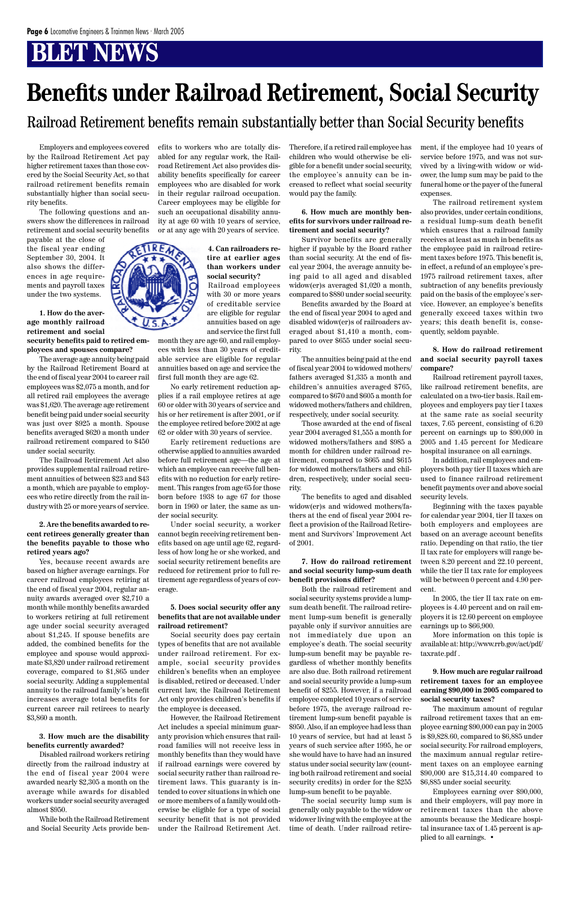Employers and employees covered by the Railroad Retirement Act pay higher retirement taxes than those covered by the Social Security Act, so that railroad retirement benefits remain substantially higher than social security benefits.

The following questions and answers show the differences in railroad retirement and social security benefits

payable at the close of the fiscal year ending September 30, 2004. It also shows the differences in age requirements and payroll taxes under the two systems.

**1. How do the average monthly railroad retirement and social security benefits paid to retired em-**

**ployees and spouses compare?**

The average age annuity being paid by the Railroad Retirement Board at the end of fiscal year 2004 to career rail employees was \$2,075 a month, and for all retired rail employees the average was \$1,620. The average age retirement benefit being paid under social security was just over \$925 a month. Spouse benefits averaged \$620 a month under railroad retirement compared to \$450 under social security.

The Railroad Retirement Act also provides supplemental railroad retirement annuities of between \$23 and \$43 a month, which are payable to employees who retire directly from the rail industry with 25 or more years of service.

#### **2. Are the benefits awarded to recent retirees generally greater than the benefits payable to those who retired years ago?**

Yes, because recent awards are based on higher average earnings. For career railroad employees retiring at the end of fiscal year 2004, regular annuity awards averaged over \$2,710 a month while monthly benefits awarded to workers retiring at full retirement age under social security averaged about \$1,245. If spouse benefits are added, the combined benefits for the employee and spouse would approximate \$3,820 under railroad retirement coverage, compared to \$1,865 under social security. Adding a supplemental annuity to the railroad family's benefit increases average total benefits for current career rail retirees to nearly \$3,860 a month.

#### **3. How much are the disability benefits currently awarded?**

Disabled railroad workers retiring directly from the railroad industry at the end of fiscal year 2004 were awarded nearly \$2,305 a month on the average while awards for disabled workers under social security averaged almost \$950.

While both the Railroad Retirement and Social Security Acts provide ben-

efits to workers who are totally disabled for any regular work, the Railroad Retirement Act also provides disability benefits specifically for career employees who are disabled for work in their regular railroad occupation. Career employees may be eligible for such an occupational disability annuity at age 60 with 10 years of service, or at any age with 20 years of service.

#### **4. Can railroaders retire at earlier ages than workers under social security?**

Railroad employees with 30 or more years of creditable service are eligible for regular annuities based on age and service the first full

month they are age 60, and rail employees with less than 30 years of creditable service are eligible for regular annuities based on age and service the first full month they are age 62.

No early retirement reduction applies if a rail employee retires at age 60 or older with 30 years of service and his or her retirement is after 2001, or if the employee retired before 2002 at age 62 or older with 30 years of service.

Early retirement reductions are otherwise applied to annuities awarded before full retirement age—the age at which an employee can receive full benefits with no reduction for early retirement. This ranges from age 65 for those born before 1938 to age 67 for those born in 1960 or later, the same as under social security.

Under social security, a worker cannot begin receiving retirement benefits based on age until age 62, regardless of how long he or she worked, and social security retirement benefits are reduced for retirement prior to full retirement age regardless of years of coverage.

#### **5. Does social security offer any benefits that are not available under railroad retirement?**

Social security does pay certain types of benefits that are not available under railroad retirement. For example, social security provides children's benefits when an employee is disabled, retired or deceased. Under current law, the Railroad Retirement Act only provides children's benefits if the employee is deceased. However, the Railroad Retirement Act includes a special minimum guaranty provision which ensures that railroad families will not receive less in monthly benefits than they would have if railroad earnings were covered by social security rather than railroad retirement laws. This guaranty is intended to cover situations in which one or more members of a family would otherwise be eligible for a type of social security benefit that is not provided under the Railroad Retirement Act. Therefore, if a retired rail employee has children who would otherwise be eligible for a benefit under social security, the employee's annuity can be increased to reflect what social security would pay the family.

#### **6. How much are monthly benefits for survivors under railroad retirement and social security?**

Survivor benefits are generally higher if payable by the Board rather than social security. At the end of fiscal year 2004, the average annuity being paid to all aged and disabled widow(er)s averaged \$1,020 a month, compared to \$880 under social security.

Benefits awarded by the Board at the end of fiscal year 2004 to aged and disabled widow(er)s of railroaders averaged about \$1,410 a month, compared to over \$655 under social security.

The annuities being paid at the end of fiscal year 2004 to widowed mothers/ fathers averaged \$1,335 a month and children's annuities averaged \$765, compared to \$670 and \$605 a month for widowed mothers/fathers and children, respectively, under social security.

Those awarded at the end of fiscal year 2004 averaged \$1,555 a month for widowed mothers/fathers and \$985 a month for children under railroad retirement, compared to \$665 and \$615 for widowed mothers/fathers and children, respectively, under social security.

The benefits to aged and disabled widow(er)s and widowed mothers/fathers at the end of fiscal year 2004 reflect a provision of the Railroad Retirement and Survivors' Improvement Act of 2001.

#### **7. How do railroad retirement and social security lump-sum death benefit provisions differ?**

Both the railroad retirement and social security systems provide a lumpsum death benefit. The railroad retirement lump-sum benefit is generally payable only if survivor annuities are not immediately due upon an employee's death. The social security lump-sum benefit may be payable regardless of whether monthly benefits are also due. Both railroad retirement and social security provide a lump-sum benefit of \$255. However, if a railroad employee completed 10 years of service before 1975, the average railroad retirement lump-sum benefit payable is \$950. Also, if an employee had less than 10 years of service, but had at least 5 years of such service after 1995, he or she would have to have had an insured status under social security law (counting both railroad retirement and social security credits) in order for the \$255 lump-sum benefit to be payable. The social security lump sum is generally only payable to the widow or widower living with the employee at the time of death. Under railroad retirement, if the employee had 10 years of service before 1975, and was not survived by a living-with widow or widower, the lump sum may be paid to the funeral home or the payer of the funeral expenses.

The railroad retirement system also provides, under certain conditions, a residual lump-sum death benefit which ensures that a railroad family receives at least as much in benefits as the employee paid in railroad retirement taxes before 1975. This benefit is, in effect, a refund of an employee's pre-1975 railroad retirement taxes, after subtraction of any benefits previously paid on the basis of the employee's service. However, an employee's benefits generally exceed taxes within two years; this death benefit is, consequently, seldom payable.

#### **8. How do railroad retirement and social security payroll taxes compare?**

Railroad retirement payroll taxes, like railroad retirement benefits, are calculated on a two-tier basis. Rail employees and employers pay tier I taxes at the same rate as social security taxes, 7.65 percent, consisting of 6.20 percent on earnings up to \$90,000 in 2005 and 1.45 percent for Medicare hospital insurance on all earnings.

In addition, rail employees and employers both pay tier II taxes which are used to finance railroad retirement benefit payments over and above social security levels.

Beginning with the taxes payable for calendar year 2004, tier II taxes on both employers and employees are based on an average account benefits ratio. Depending on that ratio, the tier II tax rate for employers will range between 8.20 percent and 22.10 percent, while the tier II tax rate for employees will be between 0 percent and 4.90 percent.

In 2005, the tier II tax rate on employees is 4.40 percent and on rail employers it is 12.60 percent on employee earnings up to \$66,900.

More information on this topic is available at: http://www.rrb.gov/act/pdf/ taxrate.pdf .



**9. How much are regular railroad retirement taxes for an employee earning \$90,000 in 2005 compared to social security taxes?**

The maximum amount of regular railroad retirement taxes that an employee earning \$90,000 can pay in 2005 is \$9,828.60, compared to \$6,885 under social security. For railroad employers, the maximum annual regular retirement taxes on an employee earning \$90,000 are \$15,314.40 compared to \$6,885 under social security.

Employees earning over \$90,000, and their employers, will pay more in retirement taxes than the above amounts because the Medicare hospital insurance tax of 1.45 percent is applied to all earnings. •

## **Benefits under Railroad Retirement, Social Security**

Railroad Retirement benefits remain substantially better than Social Security benefits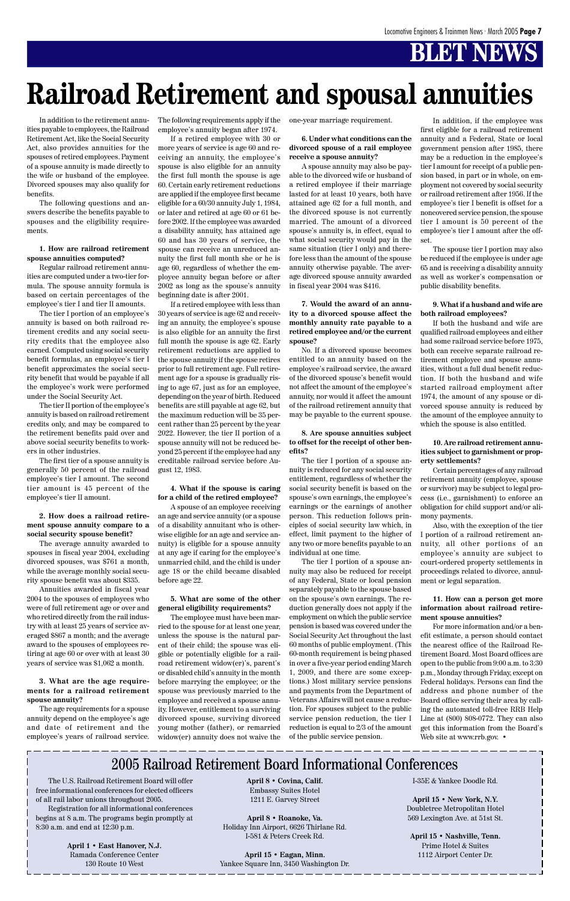In addition to the retirement annuities payable to employees, the Railroad Retirement Act, like the Social Security Act, also provides annuities for the spouses of retired employees. Payment of a spouse annuity is made directly to the wife or husband of the employee. Divorced spouses may also qualify for benefits.

The following questions and answers describe the benefits payable to spouses and the eligibility requirements.

#### **1. How are railroad retirement spouse annuities computed?**

Regular railroad retirement annuities are computed under a two-tier formula. The spouse annuity formula is based on certain percentages of the employee's tier I and tier II amounts.

The tier I portion of an employee's annuity is based on both railroad retirement credits and any social security credits that the employee also earned. Computed using social security benefit formulas, an employee's tier I benefit approximates the social security benefit that would be payable if all the employee's work were performed under the Social Security Act.

The tier II portion of the employee's annuity is based on railroad retirement credits only, and may be compared to the retirement benefits paid over and above social security benefits to workers in other industries.

The first tier of a spouse annuity is generally 50 percent of the railroad employee's tier I amount. The second tier amount is 45 percent of the employee's tier II amount.

#### **2. How does a railroad retirement spouse annuity compare to a social security spouse benefit?**

The average annuity awarded to spouses in fiscal year 2004, excluding divorced spouses, was \$761 a month, while the average monthly social security spouse benefit was about \$335.

Annuities awarded in fiscal year 2004 to the spouses of employees who were of full retirement age or over and who retired directly from the rail industry with at least 25 years of service averaged \$867 a month; and the average award to the spouses of employees retiring at age 60 or over with at least 30

years of service was \$1,062 a month.

**3. What are the age requirements for a railroad retirement spouse annuity?**

The age requirements for a spouse annuity depend on the employee's age and date of retirement and the employee's years of railroad service.

The following requirements apply if the employee's annuity began after 1974.

If a retired employee with 30 or more years of service is age 60 and receiving an annuity, the employee's spouse is also eligible for an annuity the first full month the spouse is age 60. Certain early retirement reductions are applied if the employee first became eligible for a 60/30 annuity July 1, 1984, or later and retired at age 60 or 61 before 2002. If the employee was awarded a disability annuity, has attained age 60 and has 30 years of service, the spouse can receive an unreduced annuity the first full month she or he is age 60, regardless of whether the employee annuity began before or after 2002 as long as the spouse's annuity beginning date is after 2001.

If a retired employee with less than 30 years of service is age 62 and receiving an annuity, the employee's spouse is also eligible for an annuity the first full month the spouse is age 62. Early retirement reductions are applied to the spouse annuity if the spouse retires prior to full retirement age. Full retirement age for a spouse is gradually rising to age 67, just as for an employee, depending on the year of birth. Reduced benefits are still payable at age 62, but the maximum reduction will be 35 percent rather than 25 percent by the year 2022. However, the tier II portion of a spouse annuity will not be reduced beyond 25 percent if the employee had any creditable railroad service before August 12, 1983.

#### **4. What if the spouse is caring for a child of the retired employee?**

A spouse of an employee receiving an age and service annuity (or a spouse of a disability annuitant who is otherwise eligible for an age and service annuity) is eligible for a spouse annuity at any age if caring for the employee's unmarried child, and the child is under age 18 or the child became disabled before age 22.

#### **5. What are some of the other general eligibility requirements?**

For more information and/or a benefit estimate, a person should contact the nearest office of the Railroad Retirement Board. Most Board offices are open to the public from 9:00 a.m. to 3:30 p.m., Monday through Friday, except on Federal holidays. Persons can find the address and phone number of the Board office serving their area by calling the automated toll-free RRB Help Line at (800) 808-0772. They can also get this information from the Board's Web site at www.rrb.gov. •

The employee must have been married to the spouse for at least one year, unless the spouse is the natural parent of their child; the spouse was eligible or potentially eligible for a railroad retirement widow(er)'s, parent's or disabled child's annuity in the month before marrying the employee; or the spouse was previously married to the employee and received a spouse annuity. However, entitlement to a surviving divorced spouse, surviving divorced young mother (father), or remarried widow(er) annuity does not waive the one-year marriage requirement.

**6. Under what conditions can the divorced spouse of a rail employee receive a spouse annuity?**

A spouse annuity may also be payable to the divorced wife or husband of a retired employee if their marriage lasted for at least 10 years, both have attained age 62 for a full month, and the divorced spouse is not currently married. The amount of a divorced spouse's annuity is, in effect, equal to what social security would pay in the same situation (tier I only) and therefore less than the amount of the spouse annuity otherwise payable. The average divorced spouse annuity awarded in fiscal year 2004 was \$416.

#### **7. Would the award of an annuity to a divorced spouse affect the monthly annuity rate payable to a retired employee and/or the current spouse?**

No. If a divorced spouse becomes entitled to an annuity based on the employee's railroad service, the award of the divorced spouse's benefit would not affect the amount of the employee's annuity, nor would it affect the amount of the railroad retirement annuity that may be payable to the current spouse.

#### **8. Are spouse annuities subject to offset for the receipt of other benefits?**

The tier I portion of a spouse annuity is reduced for any social security entitlement, regardless of whether the social security benefit is based on the spouse's own earnings, the employee's earnings or the earnings of another person. This reduction follows principles of social security law which, in effect, limit payment to the higher of any two or more benefits payable to an individual at one time.

The tier I portion of a spouse annuity may also be reduced for receipt of any Federal, State or local pension separately payable to the spouse based on the spouse's own earnings. The reduction generally does not apply if the employment on which the public service pension is based was covered under the Social Security Act throughout the last 60 months of public employment. (This 60-month requirement is being phased in over a five-year period ending March 1, 2009, and there are some exceptions.) Most military service pensions and payments from the Department of Veterans Affairs will not cause a reduction. For spouses subject to the public service pension reduction, the tier I reduction is equal to 2/3 of the amount of the public service pension.

In addition, if the employee was first eligible for a railroad retirement annuity and a Federal, State or local government pension after 1985, there may be a reduction in the employee's tier I amount for receipt of a public pension based, in part or in whole, on employment not covered by social security or railroad retirement after 1956. If the employee's tier I benefit is offset for a noncovered service pension, the spouse tier I amount is 50 percent of the employee's tier I amount after the offset.

The spouse tier I portion may also be reduced if the employee is under age 65 and is receiving a disability annuity as well as worker's compensation or public disability benefits.

#### **9. What if a husband and wife are both railroad employees?**

If both the husband and wife are qualified railroad employees and either had some railroad service before 1975, both can receive separate railroad retirement employee and spouse annuities, without a full dual benefit reduction. If both the husband and wife started railroad employment after 1974, the amount of any spouse or divorced spouse annuity is reduced by the amount of the employee annuity to which the spouse is also entitled.

#### **10. Are railroad retirement annuities subject to garnishment or property settlements?**

Certain percentages of any railroad retirement annuity (employee, spouse or survivor) may be subject to legal process (i.e., garnishment) to enforce an obligation for child support and/or alimony payments.

Also, with the exception of the tier I portion of a railroad retirement annuity, all other portions of an employee's annuity are subject to court-ordered property settlements in proceedings related to divorce, annulment or legal separation.

#### **11. How can a person get more information about railroad retirement spouse annuities?**

# **Railroad Retirement and spousal annuities**

### 2005 Railroad Retirement Board Informational Conferences

The U.S. Railroad Retirement Board will offer free informational conferences for elected officers of all rail labor unions throughout 2005.

Registration for all informational conferences begins at 8 a.m. The programs begin promptly at 8:30 a.m. and end at 12:30 p.m.

> **April 1 • East Hanover, N.J.** Ramada Conference Center 130 Route 10 West

**April 8 • Covina, Calif.** Embassy Suites Hotel 1211 E. Garvey Street

**April 8 • Roanoke, Va.** Holiday Inn Airport, 6626 Thirlane Rd. I-581 & Peters Creek Rd.

**April 15 • Eagan, Minn.** Yankee Square Inn, 3450 Washington Dr. I-35E & Yankee Doodle Rd.

**April 15 • New York, N.Y.** Doubletree Metropolitan Hotel 569 Lexington Ave. at 51st St.

**April 15 • Nashville, Tenn.** Prime Hotel & Suites 1112 Airport Center Dr.